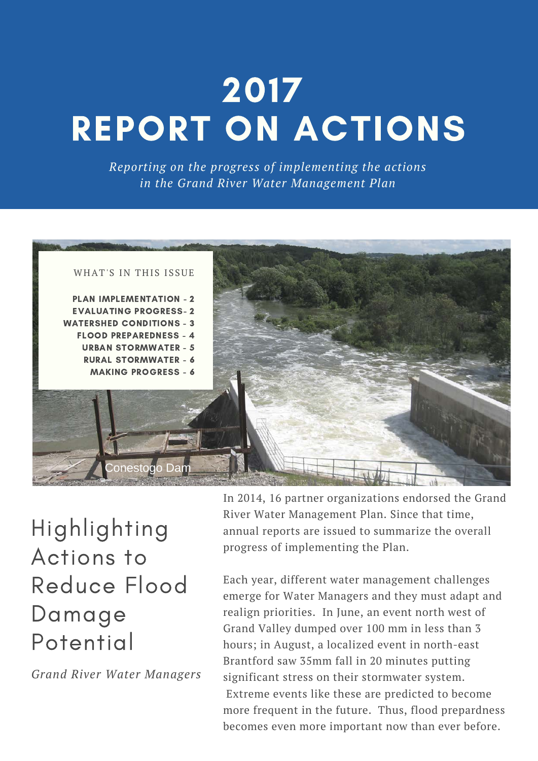# 2017 REPORT ON ACTIONS

*Reporting on the progress of implementing the actions in the Grand River Water Management Plan* 



Highlighting Actions to Reduce Flood Damage Potential

*Grand River Water Managers* 

In 2014, 16 partner organizations endorsed the Grand River Water Management Plan. Since that time, annual reports are issued to summarize the overall progress of implementing the Plan.

Each year, different water management challenges emerge for Water Managers and they must adapt and realign priorities. In June, an event north west of Grand Valley dumped over 100 mm in less than 3 hours; in August, a localized event in north-east Brantford saw 35mm fall in 20 minutes putting significant stress on their stormwater system. Extreme events like these are predicted to become more frequent in the future. Thus, flood prepardness becomes even more important now than ever before.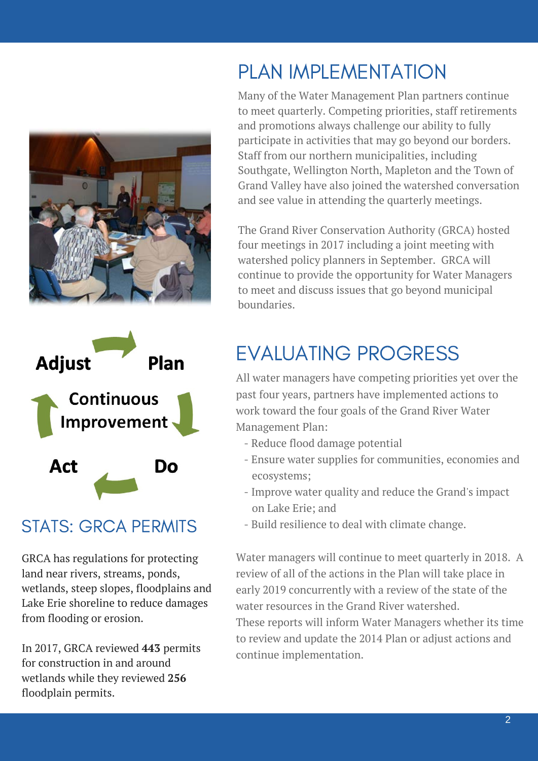



#### STATS: GRCA PERMITS

GRCA has regulations for protecting land near rivers, streams, ponds, wetlands, steep slopes, floodplains and Lake Erie shoreline to reduce damages from flooding or erosion.

In 2017, GRCA reviewed **443** permits for construction in and around wetlands while they reviewed **256** floodplain permits.

## PLAN IMPLEMENTATION

Many of the Water Management Plan partners continue to meet quarterly. Competing priorities, staff retirements and promotions always challenge our ability to fully participate in activities that may go beyond our borders. Staff from our northern municipalities, including Southgate, Wellington North, Mapleton and the Town of Grand Valley have also joined the watershed conversation and see value in attending the quarterly meetings.

The Grand River Conservation Authority (GRCA) hosted four meetings in 2017 including a joint meeting with watershed policy planners in September. GRCA will continue to provide the opportunity for Water Managers to meet and discuss issues that go beyond municipal boundaries.

## EVALUATING PROGRESS

All water managers have competing priorities yet over the past four years, partners have implemented actions to work toward the four goals of the Grand River Water Management Plan:

- Reduce flood damage potential
- Ensure water supplies for communities, economies and ecosystems;
- Improve water quality and reduce the Grand's impact on Lake Erie; and
- Build resilience to deal with climate change.

Water managers will continue to meet quarterly in 2018. A review of all of the actions in the Plan will take place in early 2019 concurrently with a review of the state of the water resources in the Grand River watershed. These reports will inform Water Managers whether its time to review and update the 2014 Plan or adjust actions and continue implementation.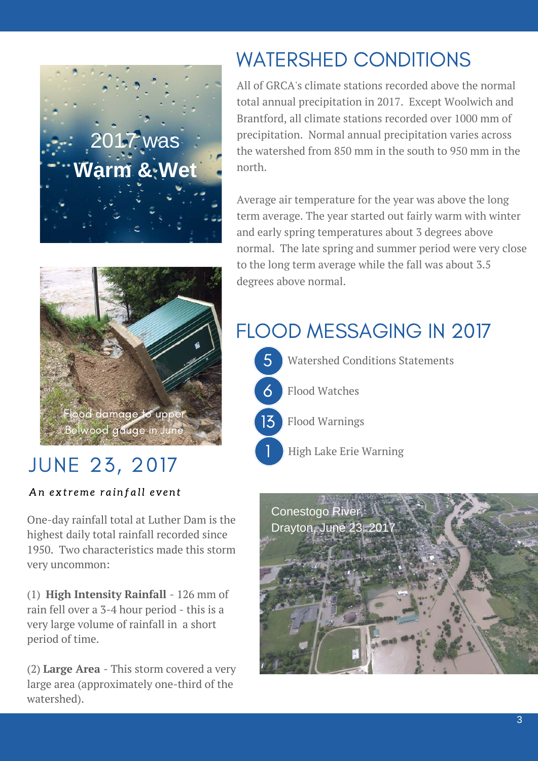



## JUNE 23, 2017

An extreme rainfall event

One-day rainfall total at Luther Dam is the highest daily total rainfall recorded since 1950. Two characteristics made this storm very uncommon:

(1) **High Intensity Rainfall** - 126 mm of rain fell over a 3-4 hour period - this is a very large volume of rainfall in a short period of time.

(2) **Large Area** - This storm covered a very large area (approximately one-third of the watershed).

## WATERSHED CONDITIONS

All of GRCA's climate stations recorded above the normal total annual precipitation in 2017. Except Woolwich and Brantford, all climate stations recorded over 1000 mm of precipitation. Normal annual precipitation varies across the watershed from 850 mm in the south to 950 mm in the north.

Average air temperature for the year was above the long term average. The year started out fairly warm with winter and early spring temperatures about 3 degrees above normal. The late spring and summer period were very close to the long term average while the fall was about 3.5 degrees above normal.

## FLOOD MESSAGING IN 2017



1

5 Watershed Conditions Statements





High Lake Erie Warning

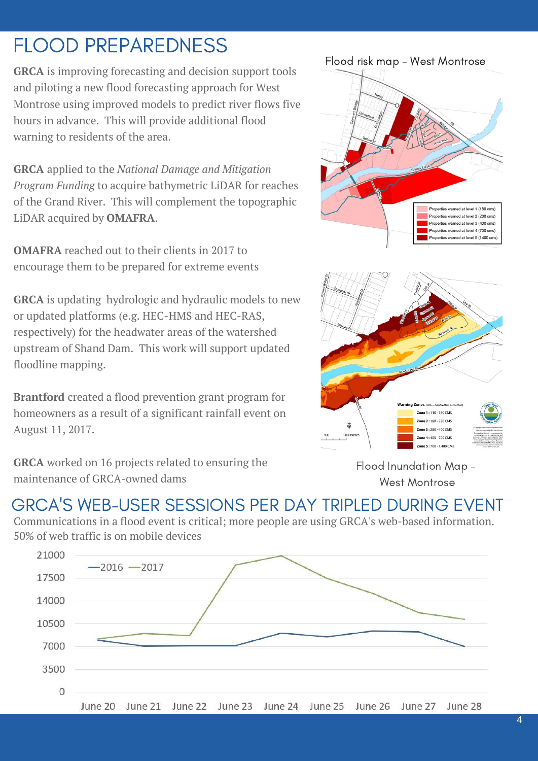## FLOOD PREPAREDNESS

**GRCA** is improving forecasting and decision support tools and piloting a new flood forecasting approach for West Montrose using improved models to predict river flows five hours in advance. This will provide additional flood warning to residents of the area.

**GRCA** applied to the *National Damage and Mitigation Program Funding* to acquire bathymetric LiDAR for reaches of the Grand River. This will complement the topographic LiDAR acquired by **OMAFRA**.

**OMAFRA** reached out to their clients in 2017 to encourage them to be prepared for extreme events

**GRCA** is updating hydrologic and hydraulic models to new or updated platforms (e.g. HEC-HMS and HEC-RAS, respectively) for the headwater areas of the watershed upstream of Shand Dam. This work will support updated floodline mapping.

**Brantford** created a flood prevention grant program for homeowners as a result of a significant rainfall event on August 11, 2017.

**GRCA** worked on 16 projects related to ensuring the maintenance of GRCA-owned dams





Flood Inundation Map - West Montrose

#### GRCA'S WEB-USER SESSIONS PER DAY TRIPLED DURING EVENT

Communications in a flood event is critical; more people are using GRCA's web-based information. 50% of web traffic is on mobile devices

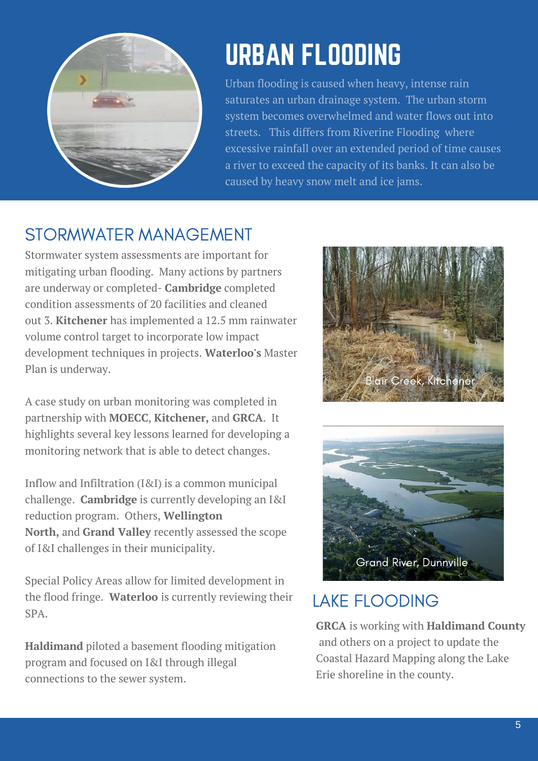

## URBAN FLOODING

Urban flooding is caused when heavy, intense rain saturates an urban drainage system. The urban storm system becomes overwhelmed and water flows out into streets. This differs from Riverine Flooding where excessive rainfall over an extended period of time causes a river to exceed the capacity of its banks. It can also be caused by heavy snow melt and ice jams.

#### STORMWATER MANAGEMENT

Stormwater system assessments are important for mitigating urban flooding. Many actions by partners are underway or completed- **Cambridge** completed condition assessments of 20 facilities and cleaned out 3. **Kitchener** has implemented a 12.5 mm rainwater volume control target to incorporate low impact development techniques in projects. **Waterloo's** Master Plan is underway.

A case study on urban monitoring was completed in partnership with **MOECC**, **Kitchener,** and **GRCA**. It highlights several key lessons learned for developing a monitoring network that is able to detect changes.

Inflow and Infiltration (I&I) is a common municipal challenge. **Cambridge** is currently developing an I&I reduction program. Others, **Wellington North,** and **Grand Valley** recently assessed the scope of I&I challenges in their municipality.

Special Policy Areas allow for limited development in the flood fringe. **Waterloo** is currently reviewing their SPA.

**Haldimand** piloted a basement flooding mitigation program and focused on I&I through illegal connections to the sewer system.





#### LAKE FLOODING

**GRCA** is working with **Haldimand County**  and others on a project to update the Coastal Hazard Mapping along the Lake Erie shoreline in the county.